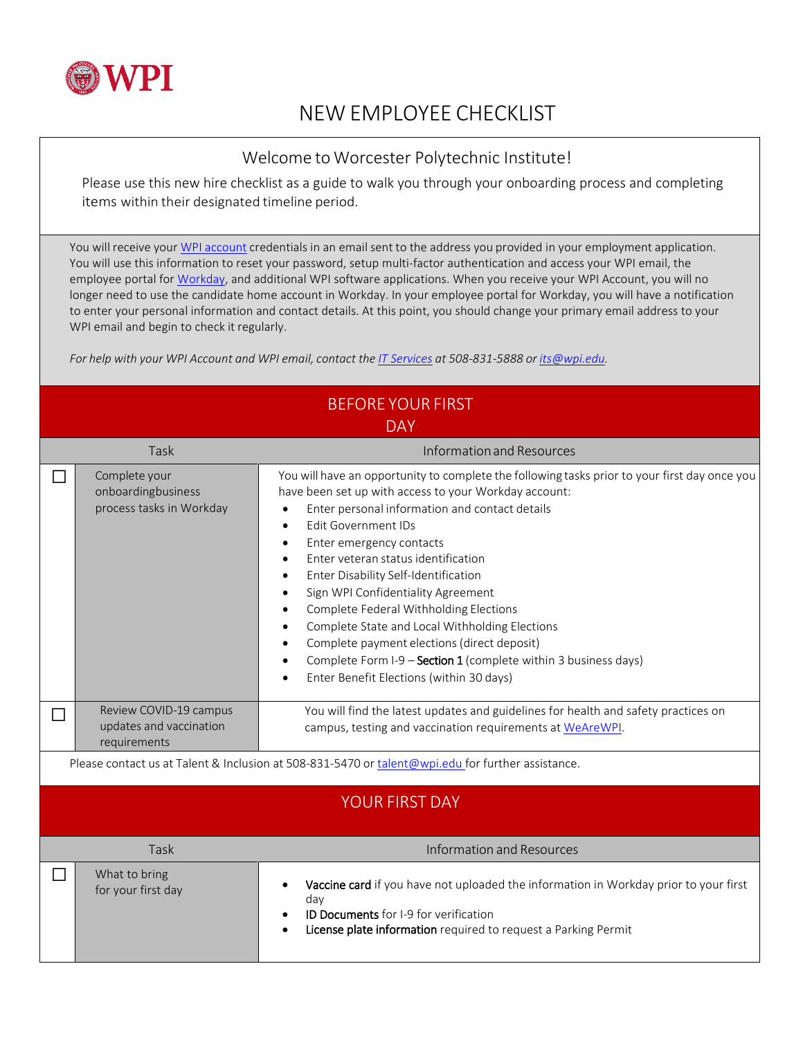

## NEW EMPLOYEE CHECKLIST

## Welcome to Worcester Polytechnic Institute!

Please use this new hire checklist as a guide to walk you through your onboarding process and completing items within their designated timeline period.

You will receive your WPI [account](https://hub.wpi.edu/article/741/new-employee-account-provisioning-process) credentials in an email sent to the address you provided in your employment application. You will use this information to reset your password, setup multi-factor authentication and access your WPI email, the employee portal fo[r Workday, a](https://hub.wpi.edu/s/5/workday)nd additional WPI software applications. When you receive your WPI Account, you will no longer need to use the candidate home account in Workday. In your employee portal for Workday, you will have a notification to enter your personal information and contact details. At this point, you should change your primary email address to your WPI email and begin to check it regularly.

*For help with your WPI Account and WPI email, contact the [IT Services](https://hub.wpi.edu/Help) at 508-831-5888 or [its@wpi.edu.](mailto:its@wpi.edu)*

| <b>BEFORE YOUR FIRST</b><br><b>DAY</b>                                                            |                                                                   |                                                                                                                                                                                                                                                                                                                                                                                                                                                                                                                                                                                                                                                                                                                                                                                                  |  |  |  |
|---------------------------------------------------------------------------------------------------|-------------------------------------------------------------------|--------------------------------------------------------------------------------------------------------------------------------------------------------------------------------------------------------------------------------------------------------------------------------------------------------------------------------------------------------------------------------------------------------------------------------------------------------------------------------------------------------------------------------------------------------------------------------------------------------------------------------------------------------------------------------------------------------------------------------------------------------------------------------------------------|--|--|--|
|                                                                                                   | Task                                                              | Information and Resources                                                                                                                                                                                                                                                                                                                                                                                                                                                                                                                                                                                                                                                                                                                                                                        |  |  |  |
|                                                                                                   | Complete your<br>onboardingbusiness<br>process tasks in Workday   | You will have an opportunity to complete the following tasks prior to your first day once you<br>have been set up with access to your Workday account:<br>Enter personal information and contact details<br>$\bullet$<br><b>Edit Government IDs</b><br>$\bullet$<br>Enter emergency contacts<br>$\bullet$<br>Enter veteran status identification<br>$\bullet$<br>Enter Disability Self-Identification<br>$\bullet$<br>Sign WPI Confidentiality Agreement<br>$\bullet$<br>Complete Federal Withholding Elections<br>$\bullet$<br>Complete State and Local Withholding Elections<br>$\bullet$<br>Complete payment elections (direct deposit)<br>$\bullet$<br>Complete Form I-9 - Section 1 (complete within 3 business days)<br>$\bullet$<br>Enter Benefit Elections (within 30 days)<br>$\bullet$ |  |  |  |
|                                                                                                   | Review COVID-19 campus<br>updates and vaccination<br>requirements | You will find the latest updates and guidelines for health and safety practices on<br>campus, testing and vaccination requirements at WeAreWPI.                                                                                                                                                                                                                                                                                                                                                                                                                                                                                                                                                                                                                                                  |  |  |  |
| Please contact us at Talent & Inclusion at 508-831-5470 or talent@wpi.edu for further assistance. |                                                                   |                                                                                                                                                                                                                                                                                                                                                                                                                                                                                                                                                                                                                                                                                                                                                                                                  |  |  |  |
| <b>YOUR FIRST DAY</b>                                                                             |                                                                   |                                                                                                                                                                                                                                                                                                                                                                                                                                                                                                                                                                                                                                                                                                                                                                                                  |  |  |  |
| Task                                                                                              |                                                                   | <b>Information and Resources</b>                                                                                                                                                                                                                                                                                                                                                                                                                                                                                                                                                                                                                                                                                                                                                                 |  |  |  |
| $\mathbf{L}$                                                                                      | What to bring<br>for your first day                               | Vaccine card if you have not uploaded the information in Workday prior to your first<br>$\bullet$<br>day<br>ID Documents for I-9 for verification<br>$\bullet$<br>License plate information required to request a Parking Permit                                                                                                                                                                                                                                                                                                                                                                                                                                                                                                                                                                 |  |  |  |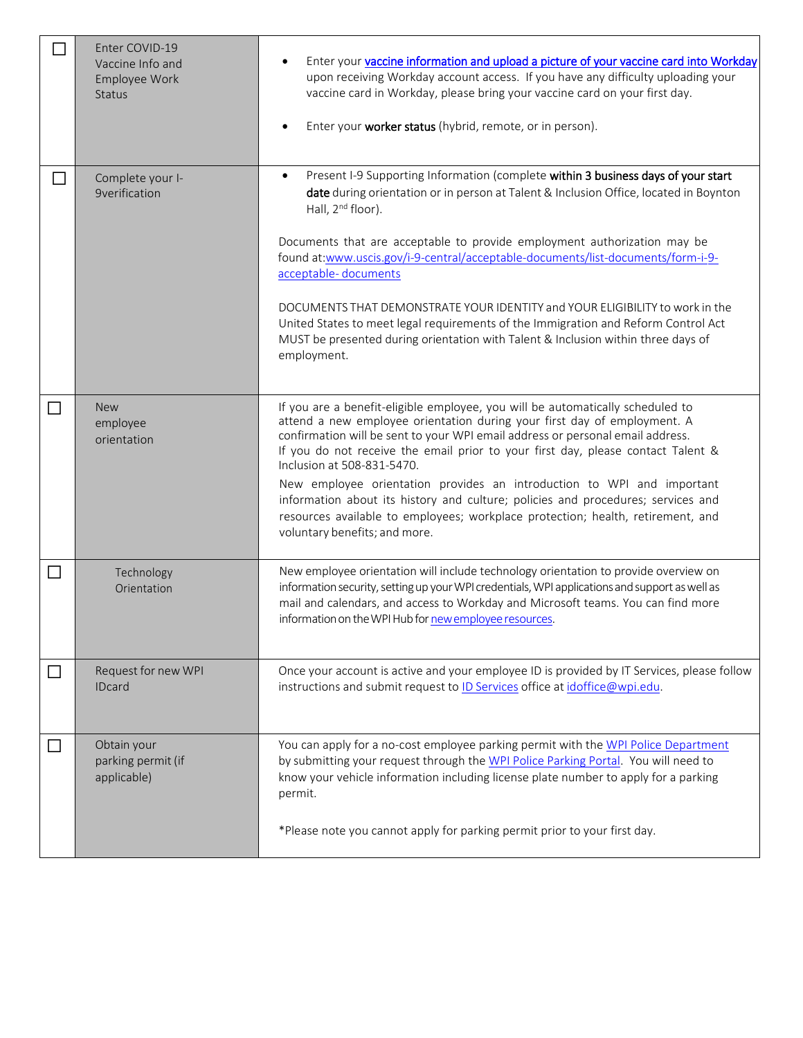|        | Enter COVID-19<br>Vaccine Info and<br>Employee Work<br><b>Status</b> | Enter your vaccine information and upload a picture of your vaccine card into Workday<br>upon receiving Workday account access. If you have any difficulty uploading your<br>vaccine card in Workday, please bring your vaccine card on your first day.<br>Enter your worker status (hybrid, remote, or in person).<br>$\bullet$                                                                                                                                                                                                                                                                                                                                                           |
|--------|----------------------------------------------------------------------|--------------------------------------------------------------------------------------------------------------------------------------------------------------------------------------------------------------------------------------------------------------------------------------------------------------------------------------------------------------------------------------------------------------------------------------------------------------------------------------------------------------------------------------------------------------------------------------------------------------------------------------------------------------------------------------------|
|        | Complete your I-<br><b>9verification</b>                             | Present I-9 Supporting Information (complete within 3 business days of your start<br>$\bullet$<br>date during orientation or in person at Talent & Inclusion Office, located in Boynton<br>Hall, 2 <sup>nd</sup> floor).<br>Documents that are acceptable to provide employment authorization may be<br>found at:www.uscis.gov/i-9-central/acceptable-documents/list-documents/form-i-9-<br>acceptable-documents<br>DOCUMENTS THAT DEMONSTRATE YOUR IDENTITY and YOUR ELIGIBILITY to work in the<br>United States to meet legal requirements of the Immigration and Reform Control Act<br>MUST be presented during orientation with Talent & Inclusion within three days of<br>employment. |
| $\Box$ | <b>New</b><br>employee<br>orientation                                | If you are a benefit-eligible employee, you will be automatically scheduled to<br>attend a new employee orientation during your first day of employment. A<br>confirmation will be sent to your WPI email address or personal email address.<br>If you do not receive the email prior to your first day, please contact Talent &<br>Inclusion at 508-831-5470.<br>New employee orientation provides an introduction to WPI and important<br>information about its history and culture; policies and procedures; services and<br>resources available to employees; workplace protection; health, retirement, and<br>voluntary benefits; and more.                                           |
| $\Box$ | Technology<br>Orientation                                            | New employee orientation will include technology orientation to provide overview on<br>information security, setting up your WPI credentials, WPI applications and support as well as<br>mail and calendars, and access to Workday and Microsoft teams. You can find more<br>information on the WPI Hub for new employee resources.                                                                                                                                                                                                                                                                                                                                                        |
| ΙI     | Request for new WPI<br><b>IDcard</b>                                 | Once your account is active and your employee ID is provided by IT Services, please follow<br>instructions and submit request to ID Services office at idoffice@wpi.edu.                                                                                                                                                                                                                                                                                                                                                                                                                                                                                                                   |
|        | Obtain your<br>parking permit (if<br>applicable)                     | You can apply for a no-cost employee parking permit with the WPI Police Department<br>by submitting your request through the WPI Police Parking Portal. You will need to<br>know your vehicle information including license plate number to apply for a parking<br>permit.<br>*Please note you cannot apply for parking permit prior to your first day.                                                                                                                                                                                                                                                                                                                                    |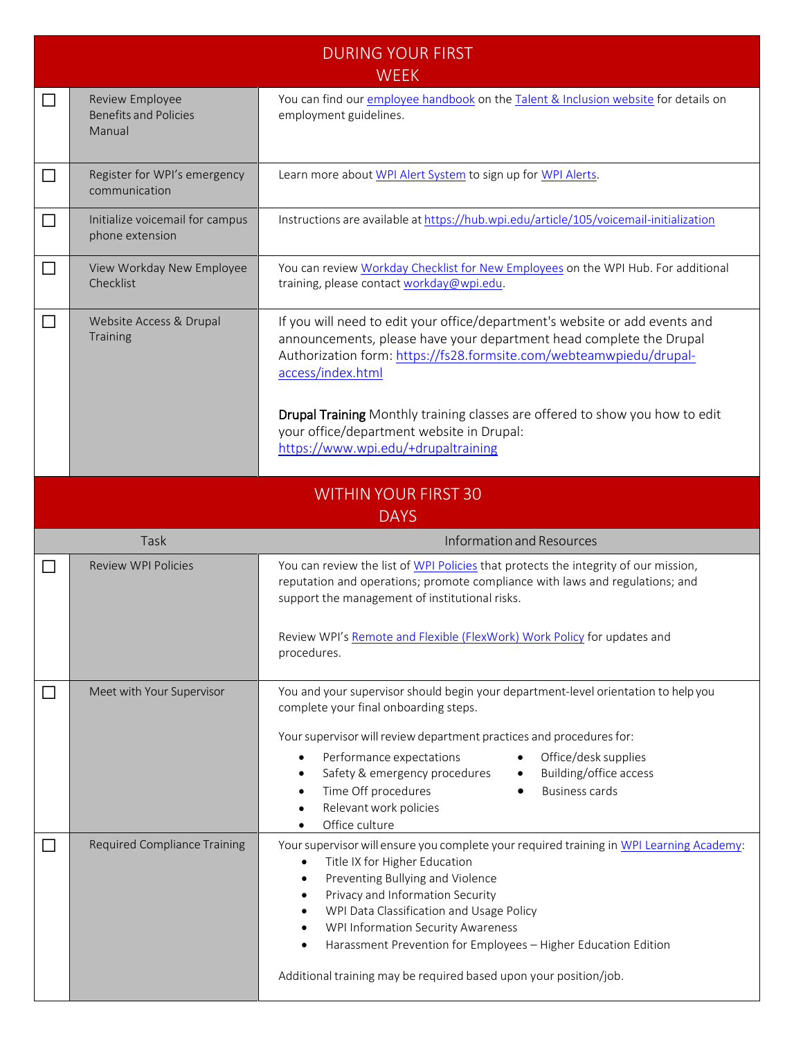| <b>DURING YOUR FIRST</b><br><b>WEEK</b>    |                                                           |                                                                                                                                                                                                                                                                                                                                                                             |  |  |
|--------------------------------------------|-----------------------------------------------------------|-----------------------------------------------------------------------------------------------------------------------------------------------------------------------------------------------------------------------------------------------------------------------------------------------------------------------------------------------------------------------------|--|--|
|                                            | Review Employee<br><b>Benefits and Policies</b><br>Manual | You can find our <i>employee handbook</i> on the Talent & Inclusion website for details on<br>employment guidelines.                                                                                                                                                                                                                                                        |  |  |
|                                            | Register for WPI's emergency<br>communication             | Learn more about WPI Alert System to sign up for WPI Alerts.                                                                                                                                                                                                                                                                                                                |  |  |
|                                            | Initialize voicemail for campus<br>phone extension        | Instructions are available at https://hub.wpi.edu/article/105/voicemail-initialization                                                                                                                                                                                                                                                                                      |  |  |
|                                            | View Workday New Employee<br>Checklist                    | You can review Workday Checklist for New Employees on the WPI Hub. For additional<br>training, please contact workday@wpi.edu.                                                                                                                                                                                                                                              |  |  |
| $\Box$                                     | Website Access & Drupal<br>Training                       | If you will need to edit your office/department's website or add events and<br>announcements, please have your department head complete the Drupal<br>Authorization form: https://fs28.formsite.com/webteamwpiedu/drupal-<br>access/index.html<br>Drupal Training Monthly training classes are offered to show you how to edit<br>your office/department website in Drupal: |  |  |
|                                            |                                                           | https://www.wpi.edu/+drupaltraining                                                                                                                                                                                                                                                                                                                                         |  |  |
| <b>WITHIN YOUR FIRST 30</b><br><b>DAYS</b> |                                                           |                                                                                                                                                                                                                                                                                                                                                                             |  |  |
|                                            |                                                           |                                                                                                                                                                                                                                                                                                                                                                             |  |  |
|                                            | Task                                                      | Information and Resources                                                                                                                                                                                                                                                                                                                                                   |  |  |
|                                            | <b>Review WPI Policies</b>                                | You can review the list of WPI Policies that protects the integrity of our mission,<br>reputation and operations; promote compliance with laws and regulations; and<br>support the management of institutional risks.<br>Review WPI's Remote and Flexible (FlexWork) Work Policy for updates and<br>procedures.                                                             |  |  |
|                                            | Meet with Your Supervisor                                 | You and your supervisor should begin your department-level orientation to help you<br>complete your final onboarding steps.                                                                                                                                                                                                                                                 |  |  |
|                                            |                                                           | Your supervisor will review department practices and procedures for:<br>Performance expectations<br>Office/desk supplies<br>$\bullet$<br>Safety & emergency procedures<br>Building/office access<br>$\bullet$<br><b>Business cards</b><br>Time Off procedures<br>$\bullet$<br>Relevant work policies<br>$\bullet$<br>Office culture                                         |  |  |